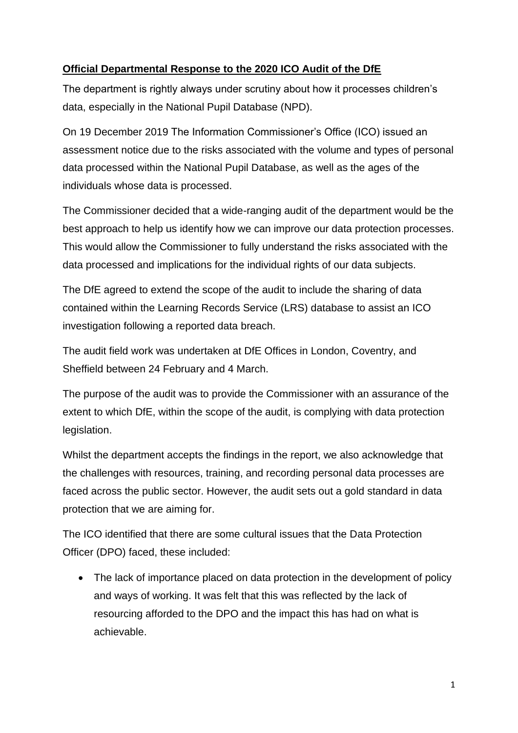## **Official Departmental Response to the 2020 ICO Audit of the DfE**

The department is rightly always under scrutiny about how it processes children's data, especially in the National Pupil Database (NPD).

On 19 December 2019 The Information Commissioner's Office (ICO) issued an assessment notice due to the risks associated with the volume and types of personal data processed within the National Pupil Database, as well as the ages of the individuals whose data is processed.

The Commissioner decided that a wide-ranging audit of the department would be the best approach to help us identify how we can improve our data protection processes. This would allow the Commissioner to fully understand the risks associated with the data processed and implications for the individual rights of our data subjects.

The DfE agreed to extend the scope of the audit to include the sharing of data contained within the Learning Records Service (LRS) database to assist an ICO investigation following a reported data breach.

The audit field work was undertaken at DfE Offices in London, Coventry, and Sheffield between 24 February and 4 March.

The purpose of the audit was to provide the Commissioner with an assurance of the extent to which DfE, within the scope of the audit, is complying with data protection legislation.

Whilst the department accepts the findings in the report, we also acknowledge that the challenges with resources, training, and recording personal data processes are faced across the public sector. However, the audit sets out a gold standard in data protection that we are aiming for.

The ICO identified that there are some cultural issues that the Data Protection Officer (DPO) faced, these included:

• The lack of importance placed on data protection in the development of policy and ways of working. It was felt that this was reflected by the lack of resourcing afforded to the DPO and the impact this has had on what is achievable.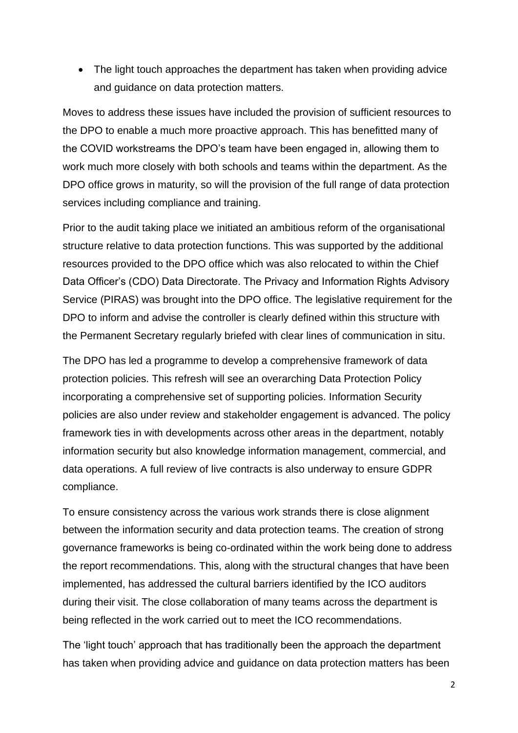• The light touch approaches the department has taken when providing advice and guidance on data protection matters.

Moves to address these issues have included the provision of sufficient resources to the DPO to enable a much more proactive approach. This has benefitted many of the COVID workstreams the DPO's team have been engaged in, allowing them to work much more closely with both schools and teams within the department. As the DPO office grows in maturity, so will the provision of the full range of data protection services including compliance and training.

Prior to the audit taking place we initiated an ambitious reform of the organisational structure relative to data protection functions. This was supported by the additional resources provided to the DPO office which was also relocated to within the Chief Data Officer's (CDO) Data Directorate. The Privacy and Information Rights Advisory Service (PIRAS) was brought into the DPO office. The legislative requirement for the DPO to inform and advise the controller is clearly defined within this structure with the Permanent Secretary regularly briefed with clear lines of communication in situ.

The DPO has led a programme to develop a comprehensive framework of data protection policies. This refresh will see an overarching Data Protection Policy incorporating a comprehensive set of supporting policies. Information Security policies are also under review and stakeholder engagement is advanced. The policy framework ties in with developments across other areas in the department, notably information security but also knowledge information management, commercial, and data operations. A full review of live contracts is also underway to ensure GDPR compliance.

To ensure consistency across the various work strands there is close alignment between the information security and data protection teams. The creation of strong governance frameworks is being co-ordinated within the work being done to address the report recommendations. This, along with the structural changes that have been implemented, has addressed the cultural barriers identified by the ICO auditors during their visit. The close collaboration of many teams across the department is being reflected in the work carried out to meet the ICO recommendations.

The 'light touch' approach that has traditionally been the approach the department has taken when providing advice and guidance on data protection matters has been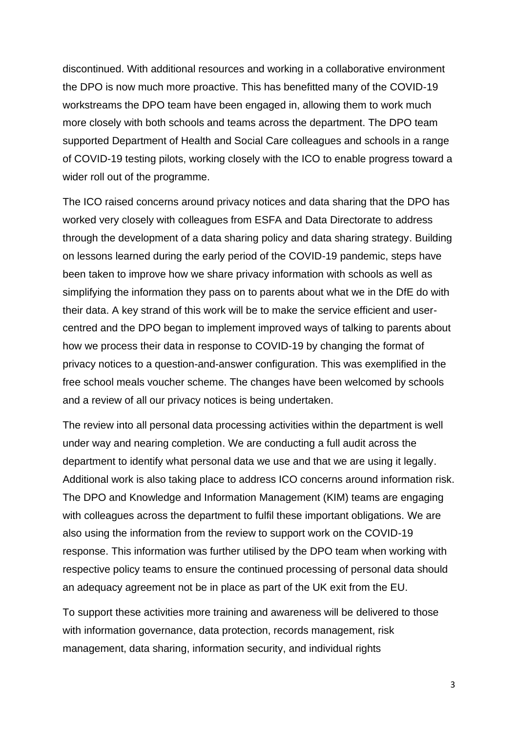discontinued. With additional resources and working in a collaborative environment the DPO is now much more proactive. This has benefitted many of the COVID-19 workstreams the DPO team have been engaged in, allowing them to work much more closely with both schools and teams across the department. The DPO team supported Department of Health and Social Care colleagues and schools in a range of COVID-19 testing pilots, working closely with the ICO to enable progress toward a wider roll out of the programme.

The ICO raised concerns around privacy notices and data sharing that the DPO has worked very closely with colleagues from ESFA and Data Directorate to address through the development of a data sharing policy and data sharing strategy. Building on lessons learned during the early period of the COVID-19 pandemic, steps have been taken to improve how we share privacy information with schools as well as simplifying the information they pass on to parents about what we in the DfE do with their data. A key strand of this work will be to make the service efficient and usercentred and the DPO began to implement improved ways of talking to parents about how we process their data in response to COVID-19 by changing the format of privacy notices to a question-and-answer configuration. This was exemplified in the free school meals voucher scheme. The changes have been welcomed by schools and a review of all our privacy notices is being undertaken.

The review into all personal data processing activities within the department is well under way and nearing completion. We are conducting a full audit across the department to identify what personal data we use and that we are using it legally. Additional work is also taking place to address ICO concerns around information risk. The DPO and Knowledge and Information Management (KIM) teams are engaging with colleagues across the department to fulfil these important obligations. We are also using the information from the review to support work on the COVID-19 response. This information was further utilised by the DPO team when working with respective policy teams to ensure the continued processing of personal data should an adequacy agreement not be in place as part of the UK exit from the EU.

To support these activities more training and awareness will be delivered to those with information governance, data protection, records management, risk management, data sharing, information security, and individual rights